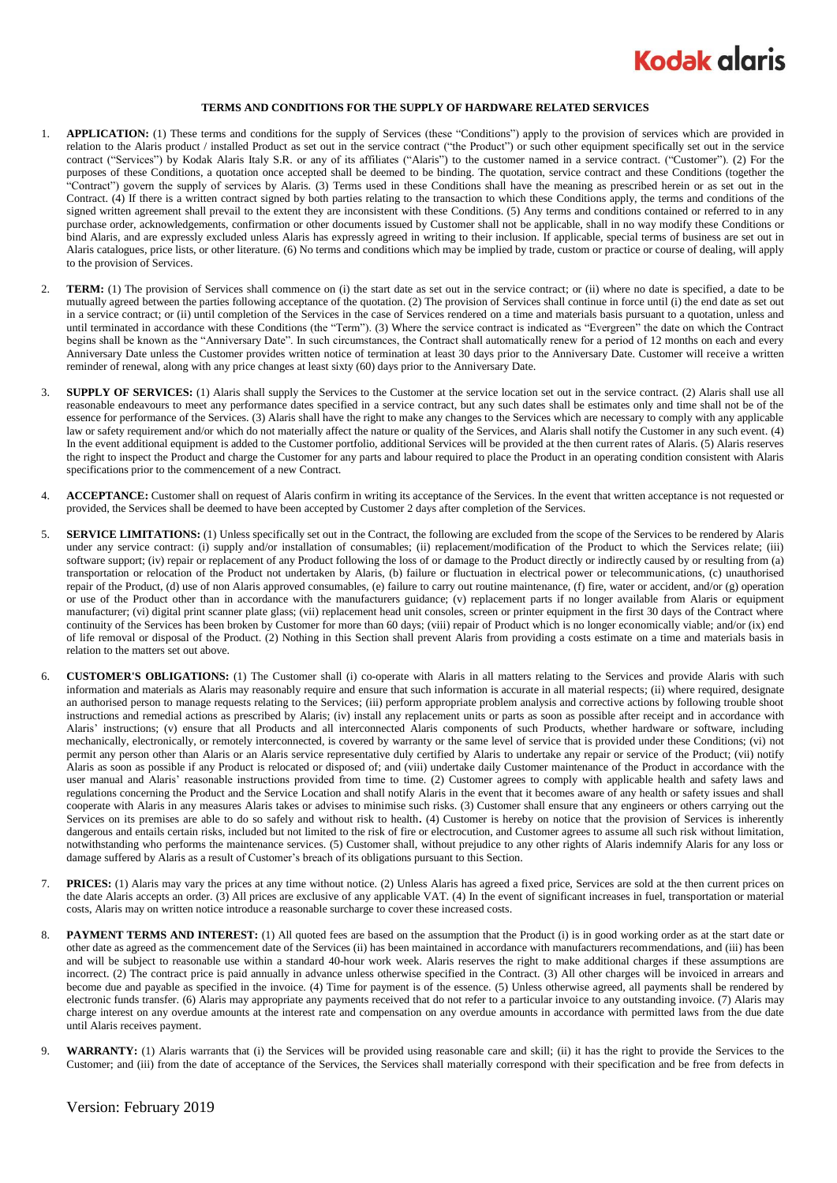

## **TERMS AND CONDITIONS FOR THE SUPPLY OF HARDWARE RELATED SERVICES**

- 1. **APPLICATION:** (1) These terms and conditions for the supply of Services (these "Conditions") apply to the provision of services which are provided in relation to the Alaris product / installed Product as set out in the service contract ("the Product") or such other equipment specifically set out in the service contract ("Services") by Kodak Alaris Italy S.R. or any of its affiliates ("Alaris") to the customer named in a service contract. ("Customer"). (2) For the purposes of these Conditions, a quotation once accepted shall be deemed to be binding. The quotation, service contract and these Conditions (together the "Contract") govern the supply of services by Alaris. (3) Terms used in these Conditions shall have the meaning as prescribed herein or as set out in the Contract. (4) If there is a written contract signed by both parties relating to the transaction to which these Conditions apply, the terms and conditions of the signed written agreement shall prevail to the extent they are inconsistent with these Conditions. (5) Any terms and conditions contained or referred to in any purchase order, acknowledgements, confirmation or other documents issued by Customer shall not be applicable, shall in no way modify these Conditions or bind Alaris, and are expressly excluded unless Alaris has expressly agreed in writing to their inclusion. If applicable, special terms of business are set out in Alaris catalogues, price lists, or other literature. (6) No terms and conditions which may be implied by trade, custom or practice or course of dealing, will apply to the provision of Services.
- 2. **TERM:** (1) The provision of Services shall commence on (i) the start date as set out in the service contract; or (ii) where no date is specified, a date to be mutually agreed between the parties following acceptance of the quotation. (2) The provision of Services shall continue in force until (i) the end date as set out in a service contract; or (ii) until completion of the Services in the case of Services rendered on a time and materials basis pursuant to a quotation, unless and until terminated in accordance with these Conditions (the "Term"). (3) Where the service contract is indicated as "Evergreen" the date on which the Contract begins shall be known as the "Anniversary Date". In such circumstances, the Contract shall automatically renew for a period of 12 months on each and every Anniversary Date unless the Customer provides written notice of termination at least 30 days prior to the Anniversary Date. Customer will receive a written reminder of renewal, along with any price changes at least sixty (60) days prior to the Anniversary Date.
- 3. **SUPPLY OF SERVICES:** (1) Alaris shall supply the Services to the Customer at the service location set out in the service contract. (2) Alaris shall use all reasonable endeavours to meet any performance dates specified in a service contract, but any such dates shall be estimates only and time shall not be of the essence for performance of the Services. (3) Alaris shall have the right to make any changes to the Services which are necessary to comply with any applicable law or safety requirement and/or which do not materially affect the nature or quality of the Services, and Alaris shall notify the Customer in any such event. (4) In the event additional equipment is added to the Customer portfolio, additional Services will be provided at the then current rates of Alaris. (5) Alaris reserves the right to inspect the Product and charge the Customer for any parts and labour required to place the Product in an operating condition consistent with Alaris specifications prior to the commencement of a new Contract.
- 4. **ACCEPTANCE:** Customer shall on request of Alaris confirm in writing its acceptance of the Services. In the event that written acceptance is not requested or provided, the Services shall be deemed to have been accepted by Customer 2 days after completion of the Services.
- 5. **SERVICE LIMITATIONS:** (1) Unless specifically set out in the Contract, the following are excluded from the scope of the Services to be rendered by Alaris under any service contract: (i) supply and/or installation of consumables; (ii) replacement/modification of the Product to which the Services relate; (iii) software support; (iv) repair or replacement of any Product following the loss of or damage to the Product directly or indirectly caused by or resulting from (a) transportation or relocation of the Product not undertaken by Alaris, (b) failure or fluctuation in electrical power or telecommunications, (c) unauthorised repair of the Product, (d) use of non Alaris approved consumables, (e) failure to carry out routine maintenance, (f) fire, water or accident, and/or (g) operation or use of the Product other than in accordance with the manufacturers guidance; (v) replacement parts if no longer available from Alaris or equipment manufacturer; (vi) digital print scanner plate glass; (vii) replacement head unit consoles, screen or printer equipment in the first 30 days of the Contract where continuity of the Services has been broken by Customer for more than 60 days; (viii) repair of Product which is no longer economically viable; and/or (ix) end of life removal or disposal of the Product. (2) Nothing in this Section shall prevent Alaris from providing a costs estimate on a time and materials basis in relation to the matters set out above.
- <span id="page-0-0"></span>6. **CUSTOMER'S OBLIGATIONS:** (1) The Customer shall (i) co-operate with Alaris in all matters relating to the Services and provide Alaris with such information and materials as Alaris may reasonably require and ensure that such information is accurate in all material respects; (ii) where required, designate an authorised person to manage requests relating to the Services; (iii) perform appropriate problem analysis and corrective actions by following trouble shoot instructions and remedial actions as prescribed by Alaris; (iv) install any replacement units or parts as soon as possible after receipt and in accordance with Alaris' instructions; (v) ensure that all Products and all interconnected Alaris components of such Products, whether hardware or software, including mechanically, electronically, or remotely interconnected, is covered by warranty or the same level of service that is provided under these Conditions; (vi) not permit any person other than Alaris or an Alaris service representative duly certified by Alaris to undertake any repair or service of the Product; (vii) notify Alaris as soon as possible if any Product is relocated or disposed of; and (viii) undertake daily Customer maintenance of the Product in accordance with the user manual and Alaris' reasonable instructions provided from time to time. (2) Customer agrees to comply with applicable health and safety laws and regulations concerning the Product and the Service Location and shall notify Alaris in the event that it becomes aware of any health or safety issues and shall cooperate with Alaris in any measures Alaris takes or advises to minimise such risks. (3) Customer shall ensure that any engineers or others carrying out the Services on its premises are able to do so safely and without risk to health**.** (4) Customer is hereby on notice that the provision of Services is inherently dangerous and entails certain risks, included but not limited to the risk of fire or electrocution, and Customer agrees to assume all such risk without limitation, notwithstanding who performs the maintenance services. (5) Customer shall, without prejudice to any other rights of Alaris indemnify Alaris for any loss or damage suffered by Alaris as a result of Customer's breach of its obligations pursuant to this Section.
- 7. **PRICES:** (1) Alaris may vary the prices at any time without notice. (2) Unless Alaris has agreed a fixed price, Services are sold at the then current prices on the date Alaris accepts an order. (3) All prices are exclusive of any applicable VAT. (4) In the event of significant increases in fuel, transportation or material costs, Alaris may on written notice introduce a reasonable surcharge to cover these increased costs.
- 8. **PAYMENT TERMS AND INTEREST:** (1) All quoted fees are based on the assumption that the Product (i) is in good working order as at the start date or other date as agreed as the commencement date of the Services (ii) has been maintained in accordance with manufacturers recommendations, and (iii) has been and will be subject to reasonable use within a standard 40-hour work week. Alaris reserves the right to make additional charges if these assumptions are incorrect. (2) The contract price is paid annually in advance unless otherwise specified in the Contract. (3) All other charges will be invoiced in arrears and become due and payable as specified in the invoice. (4) Time for payment is of the essence. (5) Unless otherwise agreed, all payments shall be rendered by electronic funds transfer. (6) Alaris may appropriate any payments received that do not refer to a particular invoice to any outstanding invoice. (7) Alaris may charge interest on any overdue amounts at the interest rate and compensation on any overdue amounts in accordance with permitted laws from the due date until Alaris receives payment.
- 9. **WARRANTY:** (1) Alaris warrants that (i) the Services will be provided using reasonable care and skill; (ii) it has the right to provide the Services to the Customer; and (iii) from the date of acceptance of the Services, the Services shall materially correspond with their specification and be free from defects in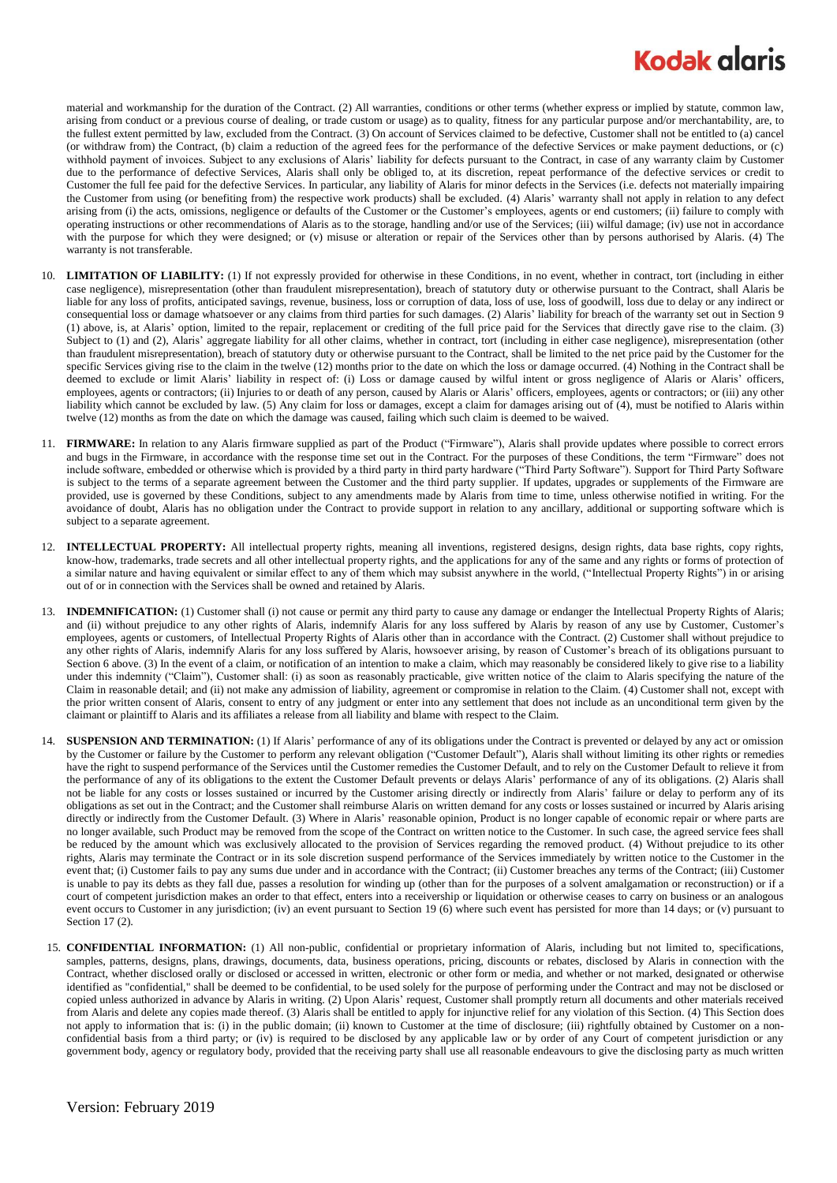## **Kodak alaris**

material and workmanship for the duration of the Contract. (2) All warranties, conditions or other terms (whether express or implied by statute, common law, arising from conduct or a previous course of dealing, or trade custom or usage) as to quality, fitness for any particular purpose and/or merchantability, are, to the fullest extent permitted by law, excluded from the Contract. (3) On account of Services claimed to be defective, Customer shall not be entitled to (a) cancel (or withdraw from) the Contract, (b) claim a reduction of the agreed fees for the performance of the defective Services or make payment deductions, or (c) withhold payment of invoices. Subject to any exclusions of Alaris' liability for defects pursuant to the Contract, in case of any warranty claim by Customer due to the performance of defective Services, Alaris shall only be obliged to, at its discretion, repeat performance of the defective services or credit to Customer the full fee paid for the defective Services. In particular, any liability of Alaris for minor defects in the Services (i.e. defects not materially impairing the Customer from using (or benefiting from) the respective work products) shall be excluded. (4) Alaris' warranty shall not apply in relation to any defect arising from (i) the acts, omissions, negligence or defaults of the Customer or the Customer's employees, agents or end customers; (ii) failure to comply with operating instructions or other recommendations of Alaris as to the storage, handling and/or use of the Services; (iii) wilful damage; (iv) use not in accordance with the purpose for which they were designed; or (v) misuse or alteration or repair of the Services other than by persons authorised by Alaris. (4) The warranty is not transferable.

- 10. **LIMITATION OF LIABILITY:** (1) If not expressly provided for otherwise in these Conditions, in no event, whether in contract, tort (including in either case negligence), misrepresentation (other than fraudulent misrepresentation), breach of statutory duty or otherwise pursuant to the Contract, shall Alaris be liable for any loss of profits, anticipated savings, revenue, business, loss or corruption of data, loss of use, loss of goodwill, loss due to delay or any indirect or consequential loss or damage whatsoever or any claims from third parties for such damages. (2) Alaris' liability for breach of the warranty set out in Section 9 (1) above, is, at Alaris' option, limited to the repair, replacement or crediting of the full price paid for the Services that directly gave rise to the claim. (3) Subject to (1) and (2), Alaris' aggregate liability for all other claims, whether in contract, tort (including in either case negligence), misrepresentation (other than fraudulent misrepresentation), breach of statutory duty or otherwise pursuant to the Contract, shall be limited to the net price paid by the Customer for the specific Services giving rise to the claim in the twelve (12) months prior to the date on which the loss or damage occurred. (4) Nothing in the Contract shall be deemed to exclude or limit Alaris' liability in respect of: (i) Loss or damage caused by wilful intent or gross negligence of Alaris or Alaris' officers, employees, agents or contractors; (ii) Injuries to or death of any person, caused by Alaris or Alaris' officers, employees, agents or contractors; or (iii) any other liability which cannot be excluded by law. (5) Any claim for loss or damages, except a claim for damages arising out of (4), must be notified to Alaris within twelve (12) months as from the date on which the damage was caused, failing which such claim is deemed to be waived.
- 11. **FIRMWARE:** In relation to any Alaris firmware supplied as part of the Product ("Firmware"), Alaris shall provide updates where possible to correct errors and bugs in the Firmware, in accordance with the response time set out in the Contract. For the purposes of these Conditions, the term "Firmware" does not include software, embedded or otherwise which is provided by a third party in third party hardware ("Third Party Software"). Support for Third Party Software is subject to the terms of a separate agreement between the Customer and the third party supplier. If updates, upgrades or supplements of the Firmware are provided, use is governed by these Conditions, subject to any amendments made by Alaris from time to time, unless otherwise notified in writing. For the avoidance of doubt, Alaris has no obligation under the Contract to provide support in relation to any ancillary, additional or supporting software which is subject to a separate agreement.
- 12. **INTELLECTUAL PROPERTY:** All intellectual property rights, meaning all inventions, registered designs, design rights, data base rights, copy rights, know-how, trademarks, trade secrets and all other intellectual property rights, and the applications for any of the same and any rights or forms of protection of a similar nature and having equivalent or similar effect to any of them which may subsist anywhere in the world, ("Intellectual Property Rights") in or arising out of or in connection with the Services shall be owned and retained by Alaris.
- 13. **INDEMNIFICATION:** (1) Customer shall (i) not cause or permit any third party to cause any damage or endanger the Intellectual Property Rights of Alaris; and (ii) without prejudice to any other rights of Alaris, indemnify Alaris for any loss suffered by Alaris by reason of any use by Customer, Customer's employees, agents or customers, of Intellectual Property Rights of Alaris other than in accordance with the Contract. (2) Customer shall without prejudice to any other rights of Alaris, indemnify Alaris for any loss suffered by Alaris, howsoever arising, by reason of Customer's breach of its obligations pursuant to Sectio[n 6](#page-0-0) above. (3) In the event of a claim, or notification of an intention to make a claim, which may reasonably be considered likely to give rise to a liability under this indemnity ("Claim"), Customer shall: (i) as soon as reasonably practicable, give written notice of the claim to Alaris specifying the nature of the Claim in reasonable detail; and (ii) not make any admission of liability, agreement or compromise in relation to the Claim. (4) Customer shall not, except with the prior written consent of Alaris, consent to entry of any judgment or enter into any settlement that does not include as an unconditional term given by the claimant or plaintiff to Alaris and its affiliates a release from all liability and blame with respect to the Claim.
- 14. **SUSPENSION AND TERMINATION:** (1) If Alaris' performance of any of its obligations under the Contract is prevented or delayed by any act or omission by the Customer or failure by the Customer to perform any relevant obligation ("Customer Default"), Alaris shall without limiting its other rights or remedies have the right to suspend performance of the Services until the Customer remedies the Customer Default, and to rely on the Customer Default to relieve it from the performance of any of its obligations to the extent the Customer Default prevents or delays Alaris' performance of any of its obligations. (2) Alaris shall not be liable for any costs or losses sustained or incurred by the Customer arising directly or indirectly from Alaris' failure or delay to perform any of its obligations as set out in the Contract; and the Customer shall reimburse Alaris on written demand for any costs or losses sustained or incurred by Alaris arising directly or indirectly from the Customer Default. (3) Where in Alaris' reasonable opinion, Product is no longer capable of economic repair or where parts are no longer available, such Product may be removed from the scope of the Contract on written notice to the Customer. In such case, the agreed service fees shall be reduced by the amount which was exclusively allocated to the provision of Services regarding the removed product. (4) Without prejudice to its other rights, Alaris may terminate the Contract or in its sole discretion suspend performance of the Services immediately by written notice to the Customer in the event that; (i) Customer fails to pay any sums due under and in accordance with the Contract; (ii) Customer breaches any terms of the Contract; (iii) Customer is unable to pay its debts as they fall due, passes a resolution for winding up (other than for the purposes of a solvent amalgamation or reconstruction) or if a court of competent jurisdiction makes an order to that effect, enters into a receivership or liquidation or otherwise ceases to carry on business or an analogous event occurs to Customer in any jurisdiction; (iv) an event pursuant to Section 19 (6) where such event has persisted for more than 14 days; or (v) pursuant to Sectio[n 17](#page-2-0) (2).
- 15. **CONFIDENTIAL INFORMATION:** (1) All non-public, confidential or proprietary information of Alaris, including but not limited to, specifications, samples, patterns, designs, plans, drawings, documents, data, business operations, pricing, discounts or rebates, disclosed by Alaris in connection with the Contract, whether disclosed orally or disclosed or accessed in written, electronic or other form or media, and whether or not marked, designated or otherwise identified as "confidential," shall be deemed to be confidential, to be used solely for the purpose of performing under the Contract and may not be disclosed or copied unless authorized in advance by Alaris in writing. (2) Upon Alaris' request, Customer shall promptly return all documents and other materials received from Alaris and delete any copies made thereof. (3) Alaris shall be entitled to apply for injunctive relief for any violation of this Section. (4) This Section does not apply to information that is: (i) in the public domain; (ii) known to Customer at the time of disclosure; (iii) rightfully obtained by Customer on a nonconfidential basis from a third party; or (iv) is required to be disclosed by any applicable law or by order of any Court of competent jurisdiction or any government body, agency or regulatory body, provided that the receiving party shall use all reasonable endeavours to give the disclosing party as much written